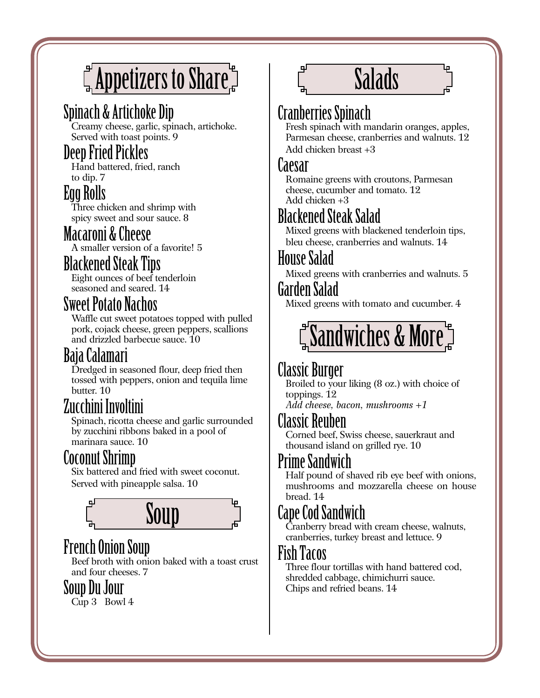# $\int_{\mathbb{H}}^{\mathbb{H}}$ Appetizers to Share $\mathbb{H}$

# Spinach & Artichoke Dip

Creamy cheese, garlic, spinach, artichoke. Served with toast points. 9

#### Deep Fried Pickles

Hand battered, fried, ranch to dip. 7

#### Egg Rolls

Three chicken and shrimp with spicy sweet and sour sauce. 8

#### Macaroni & Cheese

A smaller version of a favorite! 5

#### Blackened Steak Tips

Eight ounces of beef tenderloin seasoned and seared. 14

#### Sweet Potato Nachos

Waffle cut sweet potatoes topped with pulled pork, cojack cheese, green peppers, scallions and drizzled barbecue sauce. 10

# Baja Calamari

Dredged in seasoned flour, deep fried then tossed with peppers, onion and tequila lime butter. 10

# Zucchini Involtini

Spinach, ricotta cheese and garlic surrounded by zucchini ribbons baked in a pool of marinara sauce. 10

# Coconut Shrimp

Six battered and fried with sweet coconut. Served with pineapple salsa. 10



# French Onion Soup

Beef broth with onion baked with a toast crust and four cheeses. 7

#### Soup Du Jour

Cup 3 Bowl 4

# Salads

# Cranberries Spinach

Fresh spinach with mandarin oranges, apples, Parmesan cheese, cranberries and walnuts. 12 Add chicken breast +3

#### Caesar

Romaine greens with croutons, Parmesan cheese, cucumber and tomato. 12 Add chicken +3

# Blackened Steak Salad

Mixed greens with blackened tenderloin tips, bleu cheese, cranberries and walnuts. 14

#### House Salad

Mixed greens with cranberries and walnuts. 5

#### Garden Salad

Mixed greens with tomato and cucumber. 4

# $\H$ "Sandwiches & More $\H$

# Classic Burger

Broiled to your liking (8 oz.) with choice of toppings. 12

*Add cheese, bacon, mushrooms +1*

#### Classic Reuben

Corned beef, Swiss cheese, sauerkraut and thousand island on grilled rye. 10

# Prime Sandwich

Half pound of shaved rib eye beef with onions, mushrooms and mozzarella cheese on house bread. 14

# Cape Cod Sandwich

Cranberry bread with cream cheese, walnuts, cranberries, turkey breast and lettuce. 9

#### Fish Tacos

Three flour tortillas with hand battered cod, shredded cabbage, chimichurri sauce. Chips and refried beans. 14